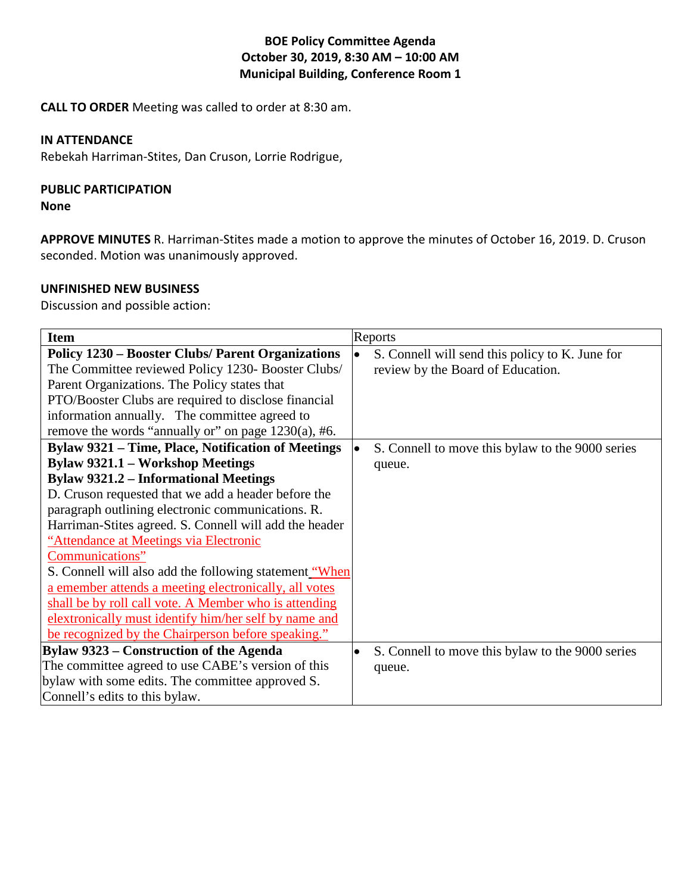# **BOE Policy Committee Agenda October 30, 2019, 8:30 AM – 10:00 AM Municipal Building, Conference Room 1**

**CALL TO ORDER** Meeting was called to order at 8:30 am.

### **IN ATTENDANCE**

Rebekah Harriman-Stites, Dan Cruson, Lorrie Rodrigue,

# **PUBLIC PARTICIPATION**

#### **None**

**APPROVE MINUTES** R. Harriman-Stites made a motion to approve the minutes of October 16, 2019. D. Cruson seconded. Motion was unanimously approved.

# **UNFINISHED NEW BUSINESS**

Discussion and possible action:

| <b>Item</b>                                               | Reports                                                      |
|-----------------------------------------------------------|--------------------------------------------------------------|
| <b>Policy 1230 – Booster Clubs/ Parent Organizations</b>  | S. Connell will send this policy to K. June for<br>$\bullet$ |
| The Committee reviewed Policy 1230- Booster Clubs/        | review by the Board of Education.                            |
| Parent Organizations. The Policy states that              |                                                              |
| PTO/Booster Clubs are required to disclose financial      |                                                              |
| information annually. The committee agreed to             |                                                              |
| remove the words "annually or" on page $1230(a)$ , #6.    |                                                              |
| <b>Bylaw 9321 – Time, Place, Notification of Meetings</b> | S. Connell to move this bylaw to the 9000 series             |
| <b>Bylaw 9321.1 - Workshop Meetings</b>                   | queue.                                                       |
| <b>Bylaw 9321.2 - Informational Meetings</b>              |                                                              |
| D. Cruson requested that we add a header before the       |                                                              |
| paragraph outlining electronic communications. R.         |                                                              |
| Harriman-Stites agreed. S. Connell will add the header    |                                                              |
| "Attendance at Meetings via Electronic                    |                                                              |
| Communications"                                           |                                                              |
| S. Connell will also add the following statement "When    |                                                              |
| a emember attends a meeting electronically, all votes     |                                                              |
| shall be by roll call vote. A Member who is attending     |                                                              |
| elextronically must identify him/her self by name and     |                                                              |
| be recognized by the Chairperson before speaking."        |                                                              |
| <b>Bylaw 9323 – Construction of the Agenda</b>            | S. Connell to move this bylaw to the 9000 series             |
| The committee agreed to use CABE's version of this        | queue.                                                       |
| bylaw with some edits. The committee approved S.          |                                                              |
| Connell's edits to this bylaw.                            |                                                              |